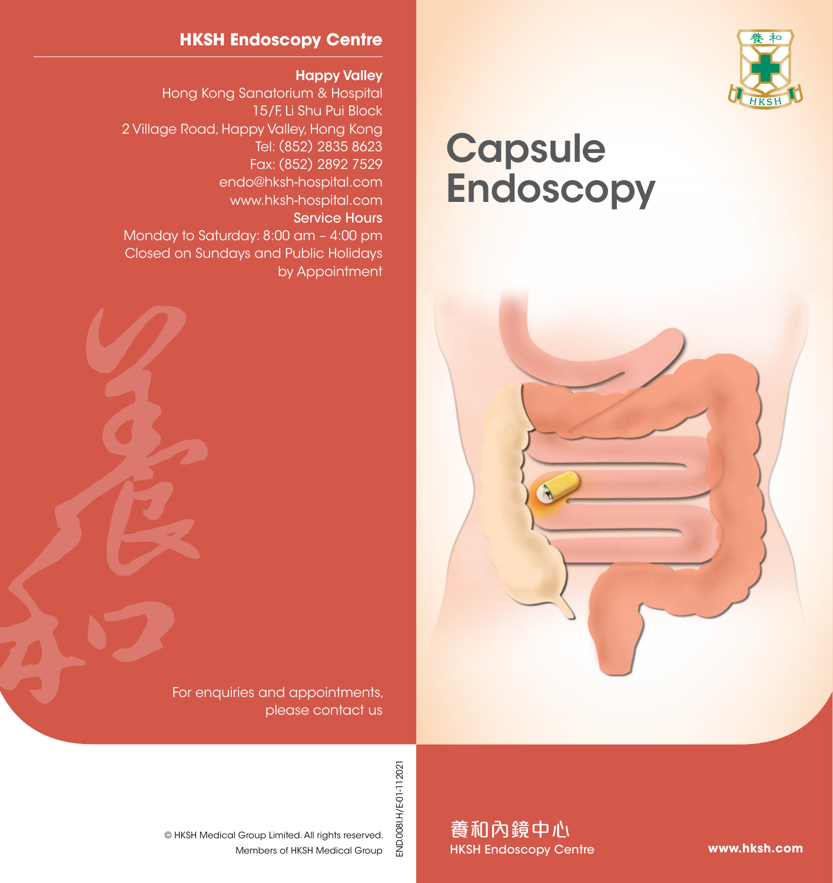

# **Capsule Endoscopy**

#### **HKSH Endoscopy Centre**

Happy Valley

Hong Kong Sanatorium & Hospital 15/F, Li Shu Pui Block 2 Village Road, Happy Valley, Hong Kong Tel: (852) 2835 8623 Fax: (852) 2892 7529 endo@hksh-hospital.com www.hksh-hospital.com Service Hours

Monday to Saturday: 8:00 am – 4:00 pm Closed on Sundays and Public Holidays by Appointment

> For enquiries and appointments, please contact us

> > END.008I.H/E-01-112021 END.008I.H/E-01-112021

Members of HKSH Medical Group © HKSH Medical Group Limited. All rights reserved. 養和內鏡中心 HKSH Endoscopy Centre

**www.hksh.com**